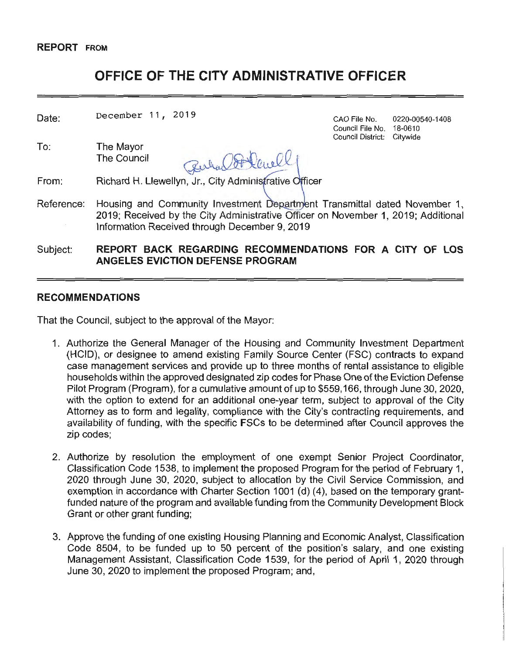#### **REPORT FROM**

# **OFFICE OF THE CITY ADMINISTRATIVE OFFICER**

| Date:      | December 11, 2019                                                                                                                                                                                               | CAO File No.<br>Council File No.<br>Council District: | 0220-00540-1408<br>18-0610<br>Citywide |
|------------|-----------------------------------------------------------------------------------------------------------------------------------------------------------------------------------------------------------------|-------------------------------------------------------|----------------------------------------|
| To:        | The Mayor<br>The Council<br>Richard H. Llewellyn, Jr., City Administrative Officer                                                                                                                              |                                                       |                                        |
| From:      |                                                                                                                                                                                                                 |                                                       |                                        |
| Reference: | Housing and Community Investment Department Transmittal dated November 1,<br>2019; Received by the City Administrative Officer on November 1, 2019; Additional<br>Information Received through December 9, 2019 |                                                       |                                        |
| Subject:   | REPORT BACK REGARDING RECOMMENDATIONS FOR A CITY OF LOS<br><b>ANGELES EVICTION DEFENSE PROGRAM</b>                                                                                                              |                                                       |                                        |

#### **RECOMMENDATIONS**

That the Council, subject to the approval of the Mayor:

- 1. Authorize the General Manager of the Housing and Community Investment Department (HCID), or designee to amend existing Family Source Center (FSC) contracts to expand case management services and provide up to three months of rental assistance to eligible households within the approved designated zip codes for Phase One of the Eviction Defense Pilot Program (Program), for a cumulative amount of up to \$559,166, through June 30, 2020, with the option to extend for an additional one-year term, subject to approval of the City Attorney as to form and legality, compliance with the City's contracting requirements, and availability of funding, with the specific FSCs to be determined after Council approves the zip codes;
- 2. Authorize by resolution the employment of one exempt Senior Project Coordinator, Classification Code 1538, to implement the proposed Program for the period of February 1, 2020 through June 30, 2020, subject to allocation by the Civil Service Commission, and exemption in accordance with Charter Section 1001 (d) (4), based on the temporary grantfunded nature of the program and available funding from the Community Development Block Grant or other grant funding;
- 3. Approve the funding of one existing Housing Planning and Economic Analyst, Classification Code 8504, to be funded up to 50 percent of the position's salary, and one existing Management Assistant, Classification Code 1539, for the period of April 1, 2020 through June 30, 2020 to implement the proposed Program; and,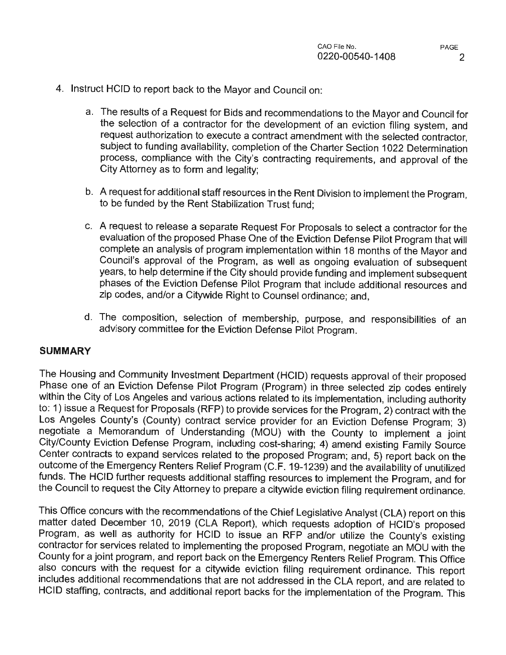- 4. Instruct HCID to report back to the Mayor and Council on:
	- a. The results of a Request for Bids and recommendations to the Mayor and Council for the selection of a contractor for the development of an eviction filing system, and request authorization to execute a contract amendment with the selected contractor, subject to funding availability, completion of the Charter Section 1022 Determination process, compliance with the City's contracting requirements, and approval of the City Attorney as to form and legality;
	- b. A request for additional staff resources in the Rent Division to implement the Program, to be funded by the Rent Stabilization Trust fund;
	- c. A request to release a separate Request For Proposals to select a contractor for the evaluation of the proposed Phase One of the Eviction Defense Pilot Program that will complete an analysis of program implementation within 18 months of the Mayor and Council's approval of the Program, as well as ongoing evaluation of subsequent years, to help determine if the City should provide funding and implement subsequent phases of the Eviction Defense Pilot Program that include additional resources and zip codes, and/or a Citywide Right to Counsel ordinance; and,
	- d. The composition, selection of membership, purpose, and responsibilities of an advisory committee for the Eviction Defense Pilot Program.

#### **SUMMARY**

The Housing and Community Investment Department (HCID) requests approval of their proposed Phase one of an Eviction Defense Pilot Program (Program) in three selected zip codes entirely within the City of Los Angeles and various actions related to its implementation, including authority to: 1) issue a Request for Proposals (RFP) to provide services for the Program, 2) contract with the Los Angeles County's (County) contract service provider for an Eviction Defense Program; 3) negotiate a Memorandum of Understanding (MOU) with the County to implement a joint City/County Eviction Defense Program, including cost-sharing; 4) amend existing Family Source Center contracts to expand services related to the proposed Program; and, 5) report back on the outcome of the Emergency Renters Relief Program (C.F. 19-1239) and the availability of unutilized funds. The HCID further requests additional staffing resources to implement the Program, and for the Council to request the City Attorney to prepare a citywide eviction filing requirement ordinance.

This Office concurs with the recommendations of the Chief Legislative Analyst (CLA) report on this matter dated December 10, 2019 (CLA Report), which requests adoption of HCID's proposed Program, as well as authority for HCID to issue an RFP and/or utilize the County's existing contractor for services related to implementing the proposed Program, negotiate an MOU with the County for a joint program, and report back on the Emergency Renters Relief Program. This Office also concurs with the request for a citywide eviction filing requirement ordinance. This report includes additional recommendations that are not addressed in the CLA report, and are related to HCID staffing, contracts, and additional report backs for the implementation of the Program. This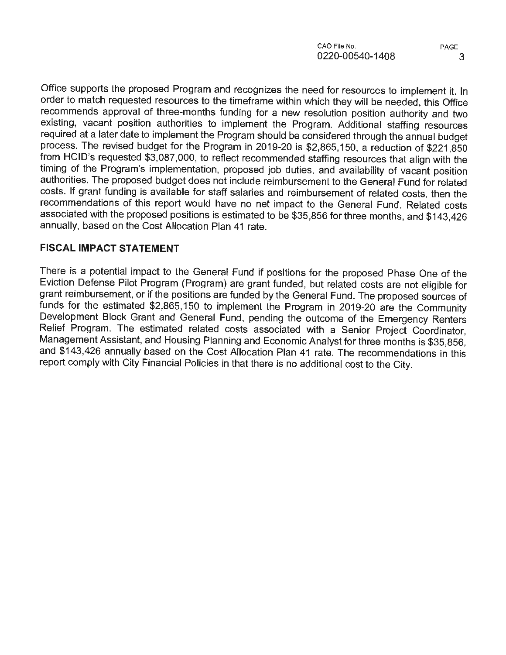Office supports the proposed Program and recognizes the need for resources to implement it. In order to match requested resources to the timeframe within which they will be needed, this Office recommends approval of three-months funding for a new resolution position authority and two existing, vacant position authorities to implement the Program. Additional staffing resources required at a later date to implement the Program should be considered through the annual budget process. The revised budget for the Program in 2019-20 is \$2,865,150, a reduction of \$221,850 from HCID's requested \$3,087,000, to reflect recommended staffing resources that align with the timing of the Program's implementation, proposed job duties, and availability of vacant position authorities. The proposed budget does not include reimbursement to the General Fund for related costs. If grant funding is available for staff salaries and reimbursement of related costs, then the recommendations of this report would have no net impact to the General Fund. Related costs associated with the proposed positions is estimated to be \$35,856 for three months, and \$143,426 annually, based on the Cost Allocation Plan 41 rate.

### **FISCAL IMPACT STATEMENT**

There is a potential impact to the General Fund if positions for the proposed Phase One of the Eviction Defense Pilot Program (Program) are grant funded, but related costs are not eligible for grant reimbursement, or if the positions are funded by the General Fund. The proposed sources of funds for the estimated \$2,865,150 to implement the Program in 2019-20 are the Community Development Block Grant and General Fund, pending the outcome of the Emergency Renters Relief Program. The estimated related costs associated with a Senior Project Coordinator, Management Assistant, and Housing Planning and Economic Analyst for three months is \$35,856, and \$143,426 annually based on the Cost Allocation Plan 41 rate. The recommendations in this report comply with City Financial Policies in that there is no additional cost to the City.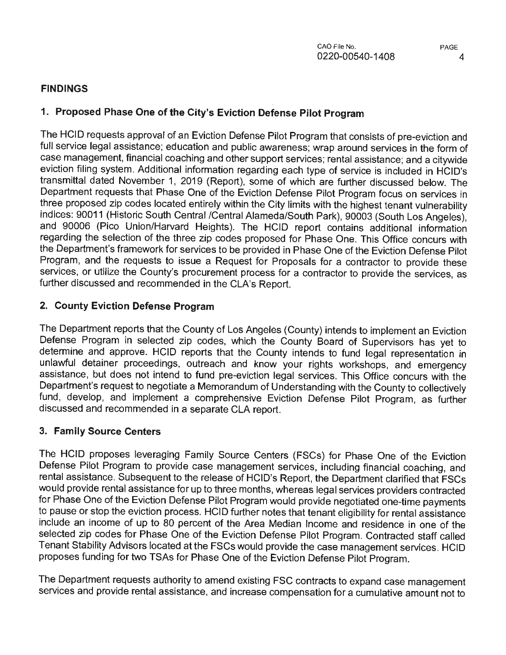## **FINDINGS**

# 1. **Proposed Phase One of the City's Eviction Defense Pilot Program**

The HCID requests approval of an Eviction Defense Pilot Program that consists of pre-eviction and full service legal assistance; education and public awareness; wrap around services in the form of case management, financial coaching and other support services; rental assistance; and a citywide eviction filing system. Additional information regarding each type of service is included in HCID's transmittal dated November 1, 2019 (Report), some of which are further discussed below. The Department requests that Phase One of the Eviction Defense Pilot Program focus on services in three proposed zip codes located entirely within the City limits with the highest tenant vulnerability indices: 90011 (Historic South Central /Central Alameda/South Park), 90003 (South Los Angeles), and 90006 (Pico Union/Harvard Heights). The HCID report contains additional information regarding the selection of the three zip codes proposed for Phase One. This Office concurs with the Department's framework for services to be provided in Phase One of the Eviction Defense Pilot Program, and the requests to issue a Request for Proposals for a contractor to provide these services, or utilize the County's procurement process for a contractor to provide the services, as further discussed and recommended in the CLA's Report.

## **2. County Eviction Defense Program**

The Department reports that the County of Los Angeles (County) intends to implement an Eviction Defense Program in selected zip codes, which the County Board of Supervisors has yet to determine and approve. HCID reports that the County intends to fund legal representation in unlawful detainer proceedings, outreach and know your rights workshops, and emergency assistance, but does not intend to fund pre-eviction legal services. This Office concurs with the Department's request to negotiate a Memorandum of Understanding with the County to collectively fund, develop, and implement a comprehensive Eviction Defense Pilot Program, as further discussed and recommended in a separate CLA report.

## **3. Family Source Centers**

The HCID proposes leveraging Family Source Centers (FSCs) for Phase One of the Eviction Defense Pilot Program to provide case management services, including financial coaching, and rental assistance. Subsequent to the release of HCID's Report, the Department clarified that FSCs would provide rental assistance for up to three months, whereas legal services providers contracted for Phase One of the Eviction Defense Pilot Program would provide negotiated one-time payments to pause or stop the eviction process. HCID further notes that tenant eligibility for rental assistance include an income of up to 80 percent of the Area Median Income and residence in one of the selected zip codes for Phase One of the Eviction Defense Pilot Program. Contracted staff called Tenant Stability Advisors located at the FSCs would provide the case management services. HCID proposes funding for two TSAs for Phase One of the Eviction Defense Pilot Program.

The Department requests authority to amend existing FSC contracts to expand case management services and provide rental assistance, and increase compensation for a cumulative amount not to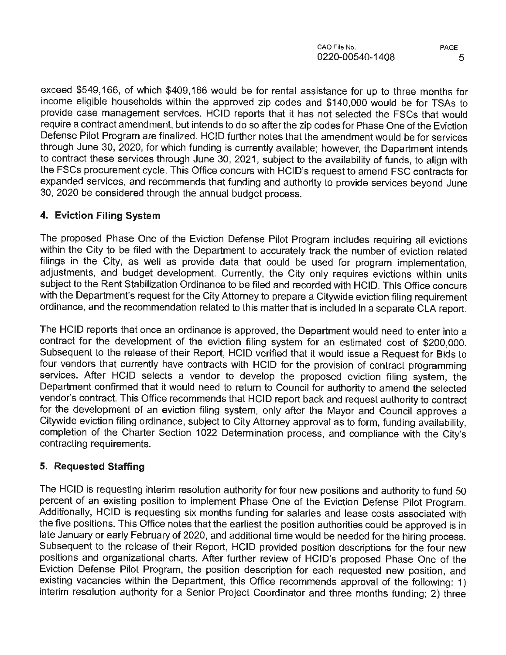exceed \$549,166, of which \$409,166 would be for rental assistance for up to three months for income eligible households within the approved zip codes and \$140,000 would be for TSAs to provide case management services. HCID reports that it has not selected the FSCs that would require a contract amendment, but intends to do so after the zip codes for Phase One of the Eviction Defense Pilot Program are finalized. HCID further notes that the amendment would be for services through June 30, 2020, for which funding is currently available; however, the Department intends to contract these services through June 30, 2021, subject to the availability of funds, to align with the FSCs procurement cycle. This Office concurs with HCID's request to amend FSC contracts for expanded services, and recommends that funding and authority to provide services beyond June 30, 2020 be considered through the annual budget process.

## **4. Eviction Filing System**

The proposed Phase One of the Eviction Defense Pilot Program includes requiring all evictions within the City to be filed with the Department to accurately track the number of eviction related filings in the City, as well as provide data that could be used for program implementation, adjustments, and budget development. Currently, the City only requires evictions within units subject to the Rent Stabilization Ordinance to be filed and recorded with HCID. This Office concurs with the Department's request for the City Attorney to prepare a Citywide eviction filing requirement ordinance, and the recommendation related to this matter that is included in a separate CLA report.

The HCID reports that once an ordinance is approved, the Department would need to enter into a contract for the development of the eviction filing system for an estimated cost of \$200,000. Subsequent to the release of their Report, HCID verified that it would issue a Request for Bids to four vendors that currently have contracts with HCID for the provision of contract programming services. After HCID selects a vendor to develop the proposed eviction filing system, the Department confirmed that it would need to return to Council for authority to amend the selected vendor's contract. This Office recommends that HCID report back and request authority to contract for the development of an eviction filing system, only after the Mayor and Council approves a Citywide eviction filing ordinance, subject to City Attorney approval as to form, funding availability, completion of the Charter Section 1022 Determination process, and compliance with the City's contracting requirements.

# **5. Requested Staffing**

The HCID is requesting interim resolution authority for four new positions and authority to fund 50 percent of an existing position to implement Phase One of the Eviction Defense Pilot Program. Additionally, HCID is requesting six months funding for salaries and lease costs associated with the five positions. This Office notes that the earliest the position authorities could be approved is in late January or early February of 2020, and additional time would be needed for the hiring process. Subsequent to the release of their Report, HCID provided position descriptions for the four new positions and organizational charts. After further review of HCID's proposed Phase One of the Eviction Defense Pilot Program, the position description for each requested new position, and existing vacancies within the Department, this Office recommends approval of the following: 1) interim resolution authority for a Senior Project Coordinator and three months funding; 2) three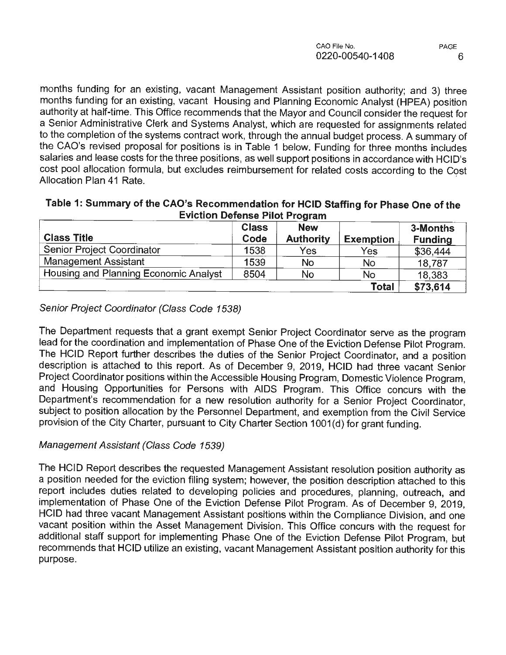months funding for an existing, vacant Management Assistant position authority; and 3) three months funding for an existing, vacant Housing and Planning Economic Analyst (HPEA) position authority at half-time. This Office recommends that the Mayor and Council consider the request for a Senior Administrative Clerk and Systems Analyst, which are requested for assignments related to the completion of the systems contract work, through the annual budget process. A summary of the CAO's revised proposal for positions is in Table 1 below. Funding for three months includes salaries and lease costs for the three positions, as well support positions in accordance with HCID's cost pool allocation formula, but excludes reimbursement for related costs according to the Cost Allocation Plan 41 Rate.

| EVICTION Defense Pilot Program        |                      |                                |                  |                            |  |
|---------------------------------------|----------------------|--------------------------------|------------------|----------------------------|--|
| <b>Class Title</b>                    | <b>Class</b><br>Code | <b>New</b><br><b>Authority</b> | <b>Exemption</b> | 3-Months<br><b>Funding</b> |  |
| Senior Project Coordinator            | 1538                 | Yes                            | Yes              | \$36,444                   |  |
| <b>Management Assistant</b>           | 1539                 | <b>No</b>                      | No               | 18,787                     |  |
| Housing and Planning Economic Analyst | 8504                 | <b>No</b>                      | No               | 18,383                     |  |
|                                       |                      |                                | Total            | \$73,614                   |  |

#### **Table 1: Summary of the CAO's Recommendation for HCID Staffing for Phase One of the Eviction Defense Pilot Program**

## Senior Project Coordinator (Class Code 1538)

The Department requests that a grant exempt Senior Project Coordinator serve as the program lead for the coordination and implementation of Phase One of the Eviction Defense Pilot Program. The HCID Report further describes the duties of the Senior Project Coordinator, and a position description is attached to this report. As of December 9, 2019, HCID had three vacant Senior Project Coordinator positions within the Accessible Housing Program, Domestic Violence Program, and Housing Opportunities for Persons with AIDS Program. This Office concurs with the Department's recommendation for a new resolution authority for a Senior Project Coordinator, subject to position allocation by the Personnel Department, and exemption from the Civil Service provision of the City Charter, pursuant to City Charter Section 1001(d) for grant funding.

## Management Assistant (Class Code 1539)

The HCID Report describes the requested Management Assistant resolution position authority as a position needed for the eviction filing system; however, the position description attached to this report includes duties related to developing policies and procedures, planning, outreach, and implementation of Phase One of the Eviction Defense Pilot Program. As of December 9, 2019, HCID had three vacant Management Assistant positions within the Compliance Division, and one vacant position within the Asset Management Division. This Office concurs with the request for additional staff support for implementing Phase One of the Eviction Defense Pilot Program, but recommends that HCID utilize an existing, vacant Management Assistant position authority for this purpose.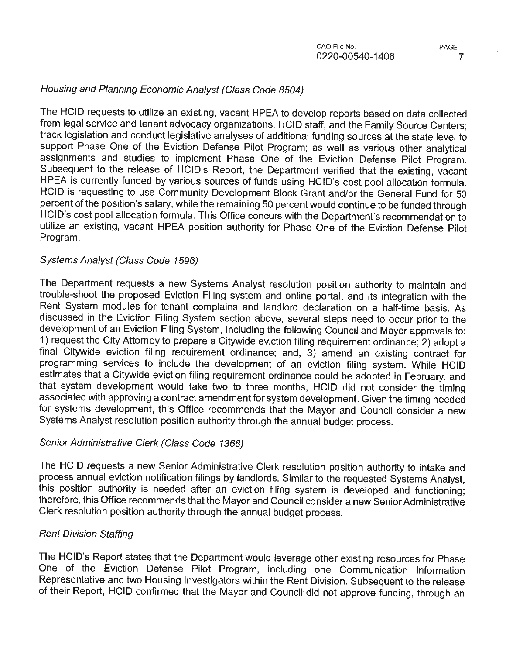### Housing and Planning Economic Analyst (Class Code 8504)

The HCID requests to utilize an existing, vacant HPEA to develop reports based on data collected from legal service and tenant advocacy organizations, HCID staff, and the Family Source Centers; track legislation and conduct legislative analyses of additional funding sources at the state level to support Phase One of the Eviction Defense Pilot Program; as well as various other analytical assignments and studies to implement Phase One of the Eviction Defense Pilot Program. Subsequent to the release of HCID's Report, the Department verified that the existing, vacant HPEA is currently funded by various sources of funds using HCID's cost pool allocation formula. HCID is requesting to use Community Development Block Grant and/or the General Fund for 50 percent of the position's salary, while the remaining 50 percent would continue to be funded through HCID's cost pool allocation formula. This Office concurs with the Department's recommendation to utilize an existing, vacant HPEA position authority for Phase One of the Eviction Defense Pilot Program.

#### Systems Analyst (Class Code 1596)

The Department requests a new Systems Analyst resolution position authority to maintain and trouble-shoot the proposed Eviction Filing system and online portal, and its integration with the Rent System modules for tenant complains and landlord declaration on a half-time basis. As discussed in the Eviction Filing System section above, several steps need to occur prior to the development of an Eviction Filing System, including the following Council and Mayor approvals to: 1) request the City Attorney to prepare a Citywide eviction filing requirement ordinance; 2) adopt a final Citywide eviction filing requirement ordinance; and, 3) amend an existing contract for programming services to include the development of an eviction filing system. While HCID estimates that a Citywide eviction filing requirement ordinance could be adopted in February, and that system development would take two to three months, HCID did not consider the timing associated with approving a contract amendment for system development. Given the timing needed for systems development, this Office recommends that the Mayor and Council consider a new Systems Analyst resolution position authority through the annual budget process.

#### Senior Administrative Clerk (Class Code 1368)

The HCID requests a new Senior Administrative Clerk resolution position authority to intake and process annual eviction notification filings by landlords. Similar to the requested Systems Analyst, this position authority is needed after an eviction filing system is developed and functioning; therefore, this Office recommends that the Mayor and Council consider a new Senior Administrative Clerk resolution position authority through the annual budget process.

#### Rent Division Staffing

The HCID's Report states that the Department would leverage other existing resources for Phase One of the Eviction Defense Pilot Program, including one Communication Information Representative and two Housing Investigators within the Rent Division. Subsequent to the release of their Report, HCID confirmed that the Mayor and Council-did not approve funding, through an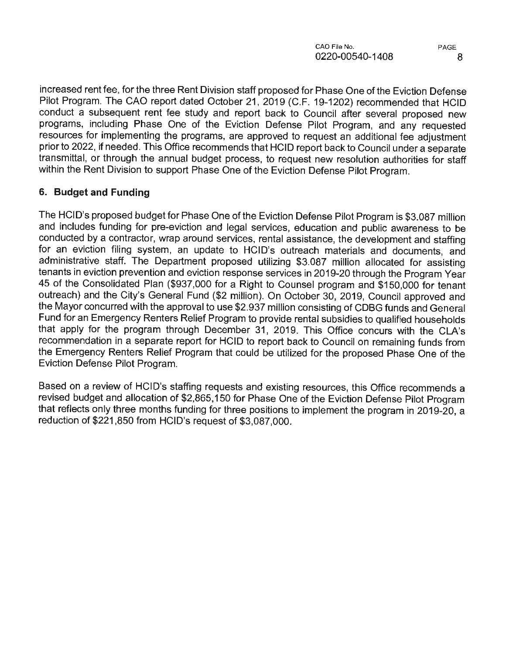increased rent fee, for the three Rent Division staff proposed for Phase One of the Eviction Defense Pilot Program. The CAO report dated October 21, 2019 (C.F. 19-1202) recommended that HCID conduct a subsequent rent fee study and report back to Council after several proposed new programs, including Phase One of the Eviction Defense Pilot Program, and any requested resources for implementing the programs, are approved to request an additional fee adjustment prior to 2022, if needed. This Office recommends that HCID report back to Council under a separate transmittal, or through the annual budget process, to request new resolution authorities for staff within the Rent Division to support Phase One of the Eviction Defense Pilot Program.

## **6. Budget and Funding**

The HCID's proposed budget for Phase One of the Eviction Defense Pilot Program is \$3.087 million and includes funding for pre-eviction and legal services, education and public awareness to be conducted by a contractor, wrap around services, rental assistance, the development and staffing for an eviction filing system, an update to HCID's outreach materials and documents, and administrative staff. The Department proposed utilizing \$3.087 million allocated for assisting tenants in eviction prevention and eviction response services in 2019-20 through the Program Year 45 of the Consolidated Plan (\$937,000 for a Right to Counsel program and \$150,000 for tenant outreach) and the City's General Fund (\$2 million). On October 30, 2019, Council approved and the Mayor concurred with the approval to use \$2.937 million consisting of CDBG funds and General Fund for an Emergency Renters Relief Program to provide rental subsidies to qualified households that apply for the program through December 31, 2019. This Office concurs with the CLA's recommendation in a separate report for HCID to report back to Council on remaining funds from the Emergency Renters Relief Program that could be utilized for the proposed Phase One of the Eviction Defense Pilot Program.

Based on a review of HCID's staffing requests and existing resources, this Office recommends a revised budget and allocation of \$2,865,150 for Phase One of the Eviction Defense Pilot Program that reflects only three months funding for three positions to implement the program in 2019-20, a reduction of \$221,850 from HCID's request of \$3,087,000.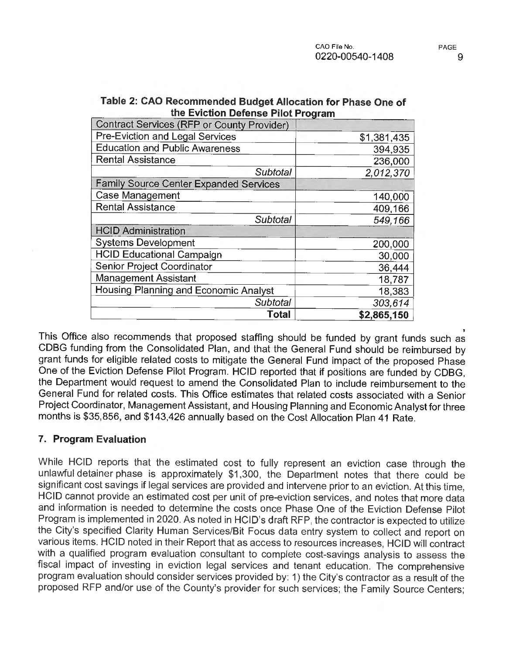| <b>Contract Services (RFP or County Provider)</b> |             |
|---------------------------------------------------|-------------|
| Pre-Eviction and Legal Services                   | \$1.381,435 |
| <b>Education and Public Awareness</b>             | 394,935     |
| <b>Rental Assistance</b>                          | 236,000     |
| Subtotal                                          | 2,012,370   |
| <b>Family Source Center Expanded Services</b>     |             |
| <b>Case Management</b>                            | 140,000     |
| <b>Rental Assistance</b>                          | 409,166     |
| Subtotal                                          | 549,166     |
| <b>HCID Administration</b>                        |             |
| <b>Systems Development</b>                        | 200,000     |
| <b>HCID Educational Campaign</b>                  | 30,000      |
| Senior Project Coordinator                        | 36,444      |
| Management Assistant                              | 18,787      |
| Housing Planning and Economic Analyst             | 18,383      |
| <b>Subtotal</b>                                   | 303,614     |
| Total                                             | \$2,865,150 |

| Table 2: CAO Recommended Budget Allocation for Phase One of |
|-------------------------------------------------------------|
| the Eviction Defense Pilot Program                          |

This Office also recommends that proposed staffing should be funded by grant funds such as CDBG funding from the Consolidated Plan, and that the General Fund should be reimbursed by grant funds for eligible related costs to mitigate the General Fund impact of the proposed Phase One of the Eviction Defense Pilot Program. HCID reported that if positions are funded by CDBG, the Department would request to amend the Consolidated Plan to include reimbursement to the General Fund for related costs. This Office estimates that related costs associated with a Senior Project Coordinator, Management Assistant, and Housing Planning and Economic Analyst for three months is \$35,856, and \$143,426 annually based on the Cost Allocation Plan 41 Rate.

#### **7. Program Evaluation**

While HCID reports that the estimated cost to fully represent an eviction case through the unlawful detainer phase is approximately \$1,300, the Department notes that there could be significant cost savings if legal services are provided and intervene prior to an eviction. At this time, HCID cannot provide an estimated cost per unit of pre-eviction services, and notes that more data and information is needed to determine the costs once Phase One of the Eviction Defense Pilot Program is implemented in 2020. As noted in HCJD's draft RFP, the contractor is expected to utilize the City's specified Clarity Human Services/Bit Focus data entry system to collect and report on various items. HCID noted in their Report that as access to resources increases, HCID will contract with a qualified program evaluation consultant to complete cost-savings analysis to assess the fiscal impact of investing in eviction legal services and tenant education. The comprehensive program evaluation should consider services provided by: 1) the City's contractor as a result of the proposed RFP and/or use of the County's provider for such services; the Family Source Centers;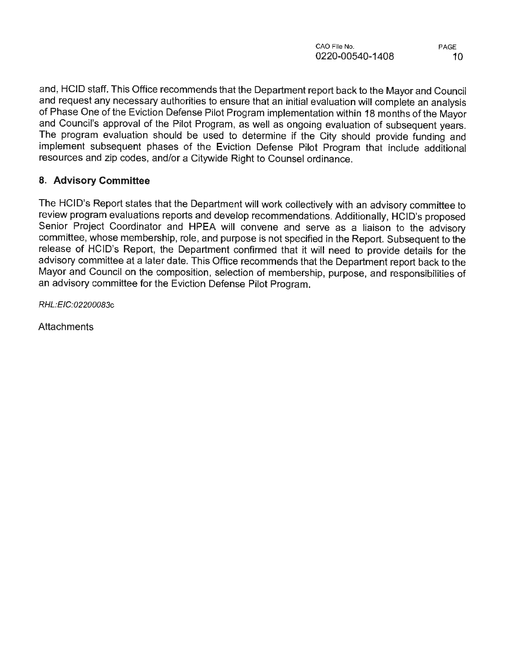and, HCID staff. This Office recommends that the Department report back to the Mayor and Council and request any necessary authorities to ensure that an initial evaluation will complete an analysis of Phase One of the Eviction Defense Pilot Program implementation within 18 months of the Mayor and Council's approval of the Pilot Program, as well as ongoing evaluation of subsequent years. The program evaluation should be used to determine if the City should provide funding and implement subsequent phases of the Eviction Defense Pilot Program that include additional resources and zip codes, and/or a Citywide Right to Counsel ordinance.

### **8. Advisory Committee**

The HCID's Report states that the Department will work collectively with an advisory committee to review program evaluations reports and develop recommendations. Additionally, HCID's proposed Senior Project Coordinator and **HPEA** will convene and serve as a liaison to the advisory committee, whose membership, role, and purpose is not specified in the Report. Subsequent to the release of HCID's Report, the Department confirmed that it will need to provide details for the advisory committee at a later date. This Office recommends that the Department report back to the Mayor and Council on the composition, selection of membership, purpose, and responsibilities of an advisory committee for the Eviction Defense Pilot Program.

RHL:EIC:02200083c

**Attachments**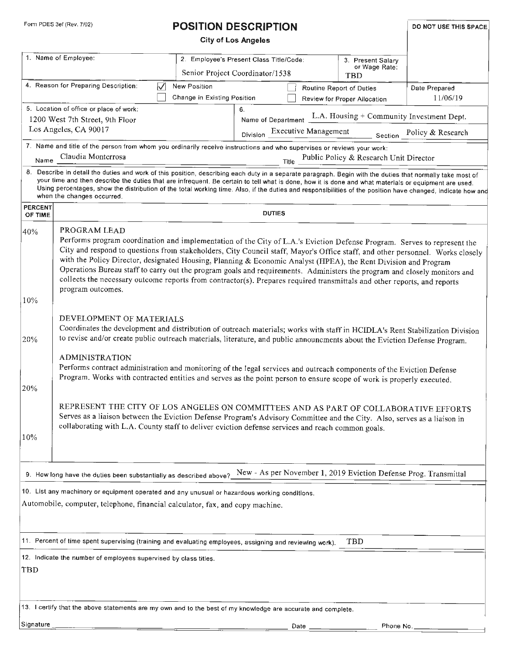| Form PDES 3ef (Rev. 7/02) | <b>POSITION DESCRIPTION</b> | DO NOT USE THIS SPACE |
|---------------------------|-----------------------------|-----------------------|
|---------------------------|-----------------------------|-----------------------|

|                           |                                                                                                                                                                                                                                                                                                                                                                                                                                                                                                                                                                                                                                                            |                                                    | <b>City of Los Angeles</b>                                                 |      |                                                                  |                           |
|---------------------------|------------------------------------------------------------------------------------------------------------------------------------------------------------------------------------------------------------------------------------------------------------------------------------------------------------------------------------------------------------------------------------------------------------------------------------------------------------------------------------------------------------------------------------------------------------------------------------------------------------------------------------------------------------|----------------------------------------------------|----------------------------------------------------------------------------|------|------------------------------------------------------------------|---------------------------|
|                           | 1. Name of Employee:                                                                                                                                                                                                                                                                                                                                                                                                                                                                                                                                                                                                                                       |                                                    | 2. Employee's Present Class Title/Code:<br>Senior Project Coordinator/1538 |      | 3. Present Salary<br>or Wage Rate:<br>TBD                        |                           |
|                           | 4. Reason for Preparing Description:<br>₩                                                                                                                                                                                                                                                                                                                                                                                                                                                                                                                                                                                                                  | <b>New Position</b><br>Change in Existing Position |                                                                            |      | Routine Report of Duties<br>Review for Proper Allocation         | Date Prepared<br>11/06/19 |
|                           | 5. Location of office or place of work:                                                                                                                                                                                                                                                                                                                                                                                                                                                                                                                                                                                                                    |                                                    | 6.                                                                         |      | Name of Department L.A. Housing + Community Investment Dept.     |                           |
|                           | 1200 West 7th Street, 9th Floor<br>Los Angeles, CA 90017                                                                                                                                                                                                                                                                                                                                                                                                                                                                                                                                                                                                   |                                                    |                                                                            |      | Executive Management Section Policy & Research                   |                           |
|                           | 7. Name and title of the person from whom you ordinarily receive instructions and who supervises or reviews your work:                                                                                                                                                                                                                                                                                                                                                                                                                                                                                                                                     |                                                    | Division                                                                   |      |                                                                  |                           |
|                           | Name Claudia Monterrosa                                                                                                                                                                                                                                                                                                                                                                                                                                                                                                                                                                                                                                    |                                                    |                                                                            |      | Title Public Policy & Research Unit Director                     |                           |
|                           | 8. Describe in detail the duties and work of this position, describing each duty in a separate paragraph. Begin with the duties that normally take most of<br>your time and then describe the duties that are infrequent. Be certain to tell what is done, how it is done and what materials or equipment are used.<br>Using percentages, show the distribution of the total working time. Also, if the duties and responsibilities of the position have changed, indicate how and<br>when the changes occurred.                                                                                                                                           |                                                    |                                                                            |      |                                                                  |                           |
| <b>PERCENT</b><br>OF TIME |                                                                                                                                                                                                                                                                                                                                                                                                                                                                                                                                                                                                                                                            |                                                    | <b>DUTIES</b>                                                              |      |                                                                  |                           |
| 40%                       | PROGRAM LEAD                                                                                                                                                                                                                                                                                                                                                                                                                                                                                                                                                                                                                                               |                                                    |                                                                            |      |                                                                  |                           |
|                           | Performs program coordination and implementation of the City of L.A.'s Eviction Defense Program. Serves to represent the<br>City and respond to questions from stakeholders, City Council staff, Mayor's Office staff, and other personnel. Works closely<br>with the Policy Director, designated Housing, Planning & Economic Analyst (HPEA), the Rent Division and Program<br>Operations Bureau staff to carry out the program goals and requirements. Administers the program and closely monitors and<br>collects the necessary outcome reports from contractor(s). Prepares required transmittals and other reports, and reports<br>program outcomes. |                                                    |                                                                            |      |                                                                  |                           |
| 10%                       |                                                                                                                                                                                                                                                                                                                                                                                                                                                                                                                                                                                                                                                            |                                                    |                                                                            |      |                                                                  |                           |
| 20%                       | DEVELOPMENT OF MATERIALS<br>Coordinates the development and distribution of outreach materials; works with staff in HCIDLA's Rent Stabilization Division<br>to revise and/or create public outreach materials, literature, and public announcments about the Eviction Defense Program.                                                                                                                                                                                                                                                                                                                                                                     |                                                    |                                                                            |      |                                                                  |                           |
| 20%                       | <b>ADMINISTRATION</b><br>Performs contract administration and monitoring of the legal services and outreach components of the Eviction Defense<br>Program. Works with contracted entities and serves as the point person to ensure scope of work is properly executed.                                                                                                                                                                                                                                                                                                                                                                                     |                                                    |                                                                            |      |                                                                  |                           |
| 10%                       | REPRESENT THE CITY OF LOS ANGELES ON COMMITTEES AND AS PART OF COLLABORATIVE EFFORTS<br>Serves as a liaison between the Eviction Defense Program's Advisory Committee and the City. Also, serves as a liaison in<br>collaborating with L.A. County staff to deliver eviction defense services and reach common goals.                                                                                                                                                                                                                                                                                                                                      |                                                    |                                                                            |      |                                                                  |                           |
|                           | 9. How long have the duties been substantially as described above?                                                                                                                                                                                                                                                                                                                                                                                                                                                                                                                                                                                         |                                                    |                                                                            |      | New - As per November 1, 2019 Eviction Defense Prog. Transmittal |                           |
|                           | 10. List any machinery or equipment operated and any unusual or hazardous working conditions.<br>Automobile, computer, telephone, financial calculator, fax, and copy machine.                                                                                                                                                                                                                                                                                                                                                                                                                                                                             |                                                    |                                                                            |      |                                                                  |                           |
|                           | 11. Percent of time spent supervising (training and evaluating employees, assigning and reviewing work).                                                                                                                                                                                                                                                                                                                                                                                                                                                                                                                                                   |                                                    |                                                                            |      | TBD                                                              |                           |
| <b>TBD</b>                | 12. Indicate the number of employees supervised by class titles.                                                                                                                                                                                                                                                                                                                                                                                                                                                                                                                                                                                           |                                                    |                                                                            |      |                                                                  |                           |
|                           | 13. I certify that the above statements are my own and to the best of my knowledge are accurate and complete.                                                                                                                                                                                                                                                                                                                                                                                                                                                                                                                                              |                                                    |                                                                            |      |                                                                  |                           |
| Signature                 |                                                                                                                                                                                                                                                                                                                                                                                                                                                                                                                                                                                                                                                            |                                                    |                                                                            | Date | Phone No.                                                        |                           |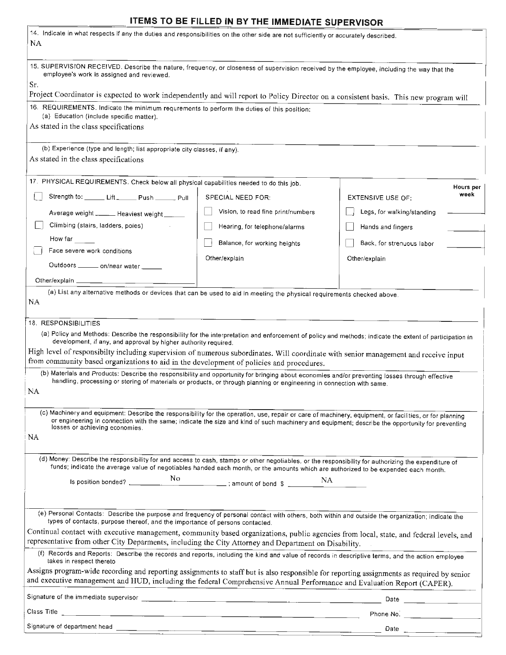# - **ITEMS TO BE FILLED IN BY THE IMMEDIATE SUPERVISOR**

| 14. Indicate in what respects if any the duties and responsibilities on the other side are not sufficiently or accurately described.<br>NA.                                                                                                                                                                                                                                                                                                                                                                                                                                                                                                                                                                                                                                       |                                                                      |                                                                                                                                                                                                                                                                                                |
|-----------------------------------------------------------------------------------------------------------------------------------------------------------------------------------------------------------------------------------------------------------------------------------------------------------------------------------------------------------------------------------------------------------------------------------------------------------------------------------------------------------------------------------------------------------------------------------------------------------------------------------------------------------------------------------------------------------------------------------------------------------------------------------|----------------------------------------------------------------------|------------------------------------------------------------------------------------------------------------------------------------------------------------------------------------------------------------------------------------------------------------------------------------------------|
| 15. SUPERVISION RECEIVED. Describe the nature, frequency, or closeness of supervision received by the employee, including the way that the<br>employee's work is assigned and reviewed.<br>Sr.<br>Project Coordinator is expected to work independently and will report to Policy Director on a consistent basis. This new program will                                                                                                                                                                                                                                                                                                                                                                                                                                           |                                                                      |                                                                                                                                                                                                                                                                                                |
| 16. REQUIREMENTS. Indicate the minimum requrements to perform the duties of this position:<br>(a) Education (include specific matter).                                                                                                                                                                                                                                                                                                                                                                                                                                                                                                                                                                                                                                            |                                                                      |                                                                                                                                                                                                                                                                                                |
| As stated in the class specifications                                                                                                                                                                                                                                                                                                                                                                                                                                                                                                                                                                                                                                                                                                                                             |                                                                      |                                                                                                                                                                                                                                                                                                |
| (b) Experience (type and length; list appropriate city classes, if any).<br>As stated in the class specifications                                                                                                                                                                                                                                                                                                                                                                                                                                                                                                                                                                                                                                                                 |                                                                      |                                                                                                                                                                                                                                                                                                |
| 17. PHYSICAL REQUIREMENTS. Check below all physical capabilities needed to do this job.                                                                                                                                                                                                                                                                                                                                                                                                                                                                                                                                                                                                                                                                                           |                                                                      | Hours per                                                                                                                                                                                                                                                                                      |
| Strength to: ______ Lift ______ Push ______ Pull                                                                                                                                                                                                                                                                                                                                                                                                                                                                                                                                                                                                                                                                                                                                  | SPECIAL NEED FOR:                                                    | week<br>EXTENSIVE USE OF:                                                                                                                                                                                                                                                                      |
| Average weight ______ Heaviest weight ____                                                                                                                                                                                                                                                                                                                                                                                                                                                                                                                                                                                                                                                                                                                                        | Vision, to read fine print/numbers                                   | Legs, for walking/standing                                                                                                                                                                                                                                                                     |
| Climbing (stairs, ladders, poles)                                                                                                                                                                                                                                                                                                                                                                                                                                                                                                                                                                                                                                                                                                                                                 | Hearing, for telephone/alarms                                        | Hands and fingers                                                                                                                                                                                                                                                                              |
| How far                                                                                                                                                                                                                                                                                                                                                                                                                                                                                                                                                                                                                                                                                                                                                                           | Balance, for working heights                                         | Back, for strenuous labor                                                                                                                                                                                                                                                                      |
| Face severe work conditions                                                                                                                                                                                                                                                                                                                                                                                                                                                                                                                                                                                                                                                                                                                                                       | Other/explain                                                        | Other/explain                                                                                                                                                                                                                                                                                  |
| Outdoors _______ on/near water _____                                                                                                                                                                                                                                                                                                                                                                                                                                                                                                                                                                                                                                                                                                                                              |                                                                      |                                                                                                                                                                                                                                                                                                |
| Other/explain _                                                                                                                                                                                                                                                                                                                                                                                                                                                                                                                                                                                                                                                                                                                                                                   |                                                                      |                                                                                                                                                                                                                                                                                                |
| (a) List any alternative methods or devices that can be used to aid in meeting the physical requirements checked above.<br><b>NA</b>                                                                                                                                                                                                                                                                                                                                                                                                                                                                                                                                                                                                                                              |                                                                      |                                                                                                                                                                                                                                                                                                |
| 18. RESPONSIBILITIES<br>(a) Policy and Methods: Describe the responsibility for the interpretation and enforcement of policy and methods; indicate the extent of participation in<br>development, if any, and approval by higher authority required.<br>High level of responsibilty including supervision of numerous subordinates. Will coordinate with senior management and receive input<br>from community based organizations to aid in the development of policies and procedures.<br>(b) Materials and Products: Describe the responsibility and opportunity for bringing about economies and/or preventing losses through effective<br>handling, processing or storing of materials or products, or through planning or engineering in connection with same.<br><b>NA</b> |                                                                      |                                                                                                                                                                                                                                                                                                |
| (c) Machinery and equipment: Describe the responsibility for the operation, use, repair or care of machinery, equipment, or facilities, or for planning<br>or engineering in connection with the same; indicate the size and kind of such machinery and equipment; describe the opportunity for preventing<br>losses or achieving economies.<br>NA                                                                                                                                                                                                                                                                                                                                                                                                                                |                                                                      |                                                                                                                                                                                                                                                                                                |
| (d) Money: Describe the responsibility for and access to cash, stamps or other negotiables, or the responsibility for authorizing the expenditure of<br>funds; indicate the average value of negotiables handed each month, or the amounts which are authorized to be expended each month.                                                                                                                                                                                                                                                                                                                                                                                                                                                                                        |                                                                      |                                                                                                                                                                                                                                                                                                |
|                                                                                                                                                                                                                                                                                                                                                                                                                                                                                                                                                                                                                                                                                                                                                                                   |                                                                      |                                                                                                                                                                                                                                                                                                |
| (e) Personal Contacts: Describe the purpose and frequency of personal contact with others, both within and outside the organization; indicate the                                                                                                                                                                                                                                                                                                                                                                                                                                                                                                                                                                                                                                 |                                                                      |                                                                                                                                                                                                                                                                                                |
| types of contacts, purpose thereof, and the importance of persons contacted.                                                                                                                                                                                                                                                                                                                                                                                                                                                                                                                                                                                                                                                                                                      |                                                                      |                                                                                                                                                                                                                                                                                                |
| Continual contact with executive management, community based organizations, public agencies from local, state, and federal levels, and<br>representative from other City Deparments, including the City Attorney and Department on Disability.                                                                                                                                                                                                                                                                                                                                                                                                                                                                                                                                    |                                                                      |                                                                                                                                                                                                                                                                                                |
| (f) Records and Reports: Describe the records and reports, including the kind and value of records in descriptive terms, and the action employee<br>takes in respect thereto                                                                                                                                                                                                                                                                                                                                                                                                                                                                                                                                                                                                      |                                                                      |                                                                                                                                                                                                                                                                                                |
| Assigns program-wide recording and reporting assignments to staff but is also responsible for reporting assignments as required by senior<br>and executive management and HUD, including the federal Comprehensive Annual Performance and Evaluation Report (CAPER).                                                                                                                                                                                                                                                                                                                                                                                                                                                                                                              |                                                                      |                                                                                                                                                                                                                                                                                                |
|                                                                                                                                                                                                                                                                                                                                                                                                                                                                                                                                                                                                                                                                                                                                                                                   |                                                                      |                                                                                                                                                                                                                                                                                                |
| Class Title                                                                                                                                                                                                                                                                                                                                                                                                                                                                                                                                                                                                                                                                                                                                                                       | <u> 2000 - Jan James James Barnett, amerikan personal (h. 1908).</u> |                                                                                                                                                                                                                                                                                                |
|                                                                                                                                                                                                                                                                                                                                                                                                                                                                                                                                                                                                                                                                                                                                                                                   |                                                                      | Date $\frac{1}{2}$ and $\frac{1}{2}$ and $\frac{1}{2}$ and $\frac{1}{2}$ and $\frac{1}{2}$ and $\frac{1}{2}$ and $\frac{1}{2}$ and $\frac{1}{2}$ and $\frac{1}{2}$ and $\frac{1}{2}$ and $\frac{1}{2}$ and $\frac{1}{2}$ and $\frac{1}{2}$ and $\frac{1}{2}$ and $\frac{1}{2}$ and $\frac{1}{$ |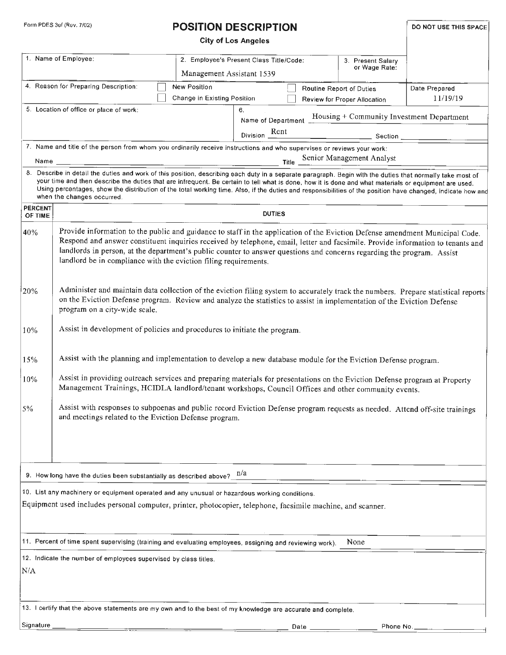# Form PDES 3ef (Rev. 7/02) **POSITION DESCRIPTION DESCRIPTION DO NOT USE THIS SPACE**

|                           |                                                                                                                                                                                                                                                                                                                                                                                                                                                                                                                  | <b>City of Los Angeles</b>                                           |               |                                                                                       |                           |
|---------------------------|------------------------------------------------------------------------------------------------------------------------------------------------------------------------------------------------------------------------------------------------------------------------------------------------------------------------------------------------------------------------------------------------------------------------------------------------------------------------------------------------------------------|----------------------------------------------------------------------|---------------|---------------------------------------------------------------------------------------|---------------------------|
|                           | 1. Name of Employee:                                                                                                                                                                                                                                                                                                                                                                                                                                                                                             | 2. Employee's Present Class Title/Code:<br>Management Assistant 1539 |               | 3. Present Salary<br>or Wage Rate:                                                    |                           |
|                           | 4. Reason for Preparing Description:                                                                                                                                                                                                                                                                                                                                                                                                                                                                             | New Position<br>Change in Existing Position                          |               | Routine Report of Duties<br>Review for Proper Allocation                              | Date Prepared<br>11/19/19 |
|                           | 5. Location of office or place of work:                                                                                                                                                                                                                                                                                                                                                                                                                                                                          | 6.                                                                   |               | Name of Department Housing + Community Investment Department<br>Division Rent Section |                           |
|                           | 7. Name and title of the person from whom you ordinarily receive instructions and who supervises or reviews your work:                                                                                                                                                                                                                                                                                                                                                                                           |                                                                      |               | Title Senior Management Analyst                                                       |                           |
|                           | 8. Describe in detail the duties and work of this position, describing each duty in a separate paragraph. Begin with the duties that normally take most of<br>your time and then describe the duties that are infrequent. Be certain to tell what is done, how it is done and what materials or equipment are used.<br>Using percentages, show the distribution of the total working time. Also, if the duties and responsibilities of the position have changed, indicate how and<br>when the changes occurred. |                                                                      |               |                                                                                       |                           |
| <b>PERCENT</b><br>OF TIME |                                                                                                                                                                                                                                                                                                                                                                                                                                                                                                                  |                                                                      | <b>DUTIES</b> |                                                                                       |                           |
| 40%                       | Provide information to the public and guidance to staff in the application of the Eviction Defense amendment Municipal Code.<br>Respond and answer constituent inquiries received by telephone, email, letter and facsimile. Provide information to tenants and<br>landlords in person, at the department's public counter to answer questions and concerns regarding the program. Assist<br>landlord be in compliance with the eviction filing requirements.                                                    |                                                                      |               |                                                                                       |                           |
| 20%                       | Administer and maintain data collection of the eviction filing system to accurately track the numbers. Prepare statistical reports<br>on the Eviction Defense program. Review and analyze the statistics to assist in implementation of the Eviction Defense<br>program on a city-wide scale.                                                                                                                                                                                                                    |                                                                      |               |                                                                                       |                           |
| 10%                       | Assist in development of policies and procedures to initiate the program.                                                                                                                                                                                                                                                                                                                                                                                                                                        |                                                                      |               |                                                                                       |                           |
| 15%                       | Assist with the planning and implementation to develop a new database module for the Eviction Defense program.                                                                                                                                                                                                                                                                                                                                                                                                   |                                                                      |               |                                                                                       |                           |
| 10%                       | Assist in providing outreach services and preparing materials for presentations on the Eviction Defense program at Property<br>Management Trainings, HCIDLA landlord/tenant workshops, Council Offices and other community events.                                                                                                                                                                                                                                                                               |                                                                      |               |                                                                                       |                           |
| $5\%$                     | Assist with responses to subpoenas and public record Eviction Defense program requests as needed. Attend off-site trainings<br>and meetings related to the Eviction Defense program.                                                                                                                                                                                                                                                                                                                             |                                                                      |               |                                                                                       |                           |
|                           | 9. How long have the duties been substantially as described above? $n/a$                                                                                                                                                                                                                                                                                                                                                                                                                                         |                                                                      |               |                                                                                       |                           |
|                           | 10. List any machinery or equipment operated and any unusual or hazardous working conditions.<br>Equipment used includes personal computer, printer, photocopier, telephone, facsimile machine, and scanner.                                                                                                                                                                                                                                                                                                     |                                                                      |               |                                                                                       |                           |
|                           | 11. Percent of time spent supervising (training and evaluating employees, assigning and reviewing work).                                                                                                                                                                                                                                                                                                                                                                                                         |                                                                      |               | None                                                                                  |                           |
| N/A                       | 12. Indicate the number of employees supervised by class titles.                                                                                                                                                                                                                                                                                                                                                                                                                                                 |                                                                      |               |                                                                                       |                           |
|                           | 13. I certify that the above statements are my own and to the best of my knowledge are accurate and complete.                                                                                                                                                                                                                                                                                                                                                                                                    |                                                                      |               |                                                                                       |                           |
| Signature                 |                                                                                                                                                                                                                                                                                                                                                                                                                                                                                                                  |                                                                      | Date          | Phone No.                                                                             |                           |